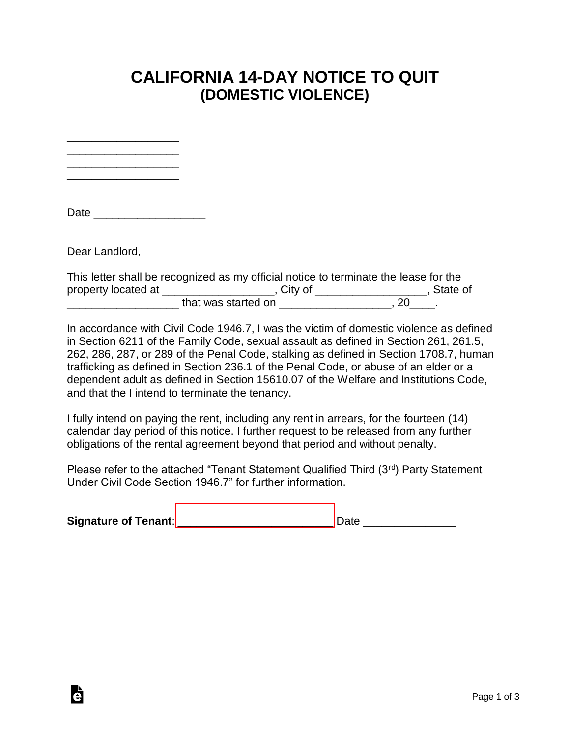## **CALIFORNIA 14-DAY NOTICE TO QUIT (DOMESTIC VIOLENCE)**

\_\_\_\_\_\_\_\_\_\_\_\_\_\_\_\_\_\_ \_\_\_\_\_\_\_\_\_\_\_\_\_\_\_\_\_\_ \_\_\_\_\_\_\_\_\_\_\_\_\_\_\_\_\_\_

\_\_\_\_\_\_\_\_\_\_\_\_\_\_\_\_\_\_

Date  $\Box$ 

Dear Landlord,

Ġ

| This letter shall be recognized as my official notice to terminate the lease for the |                     |  |            |  |
|--------------------------------------------------------------------------------------|---------------------|--|------------|--|
| property located at                                                                  | . Citv of           |  | . State of |  |
|                                                                                      | that was started on |  |            |  |

In accordance with Civil Code 1946.7, I was the victim of domestic violence as defined in Section 6211 of the Family Code, sexual assault as defined in Section 261, 261.5, 262, 286, 287, or 289 of the Penal Code, stalking as defined in Section 1708.7, human trafficking as defined in Section 236.1 of the Penal Code, or abuse of an elder or a dependent adult as defined in Section 15610.07 of the Welfare and Institutions Code, and that the I intend to terminate the tenancy.

I fully intend on paying the rent, including any rent in arrears, for the fourteen (14) calendar day period of this notice. I further request to be released from any further obligations of the rental agreement beyond that period and without penalty.

Please refer to the attached "Tenant Statement Qualified Third (3rd) Party Statement Under Civil Code Section 1946.7" for further information.

| <b>Signature of Tenant:</b> |  |
|-----------------------------|--|
|                             |  |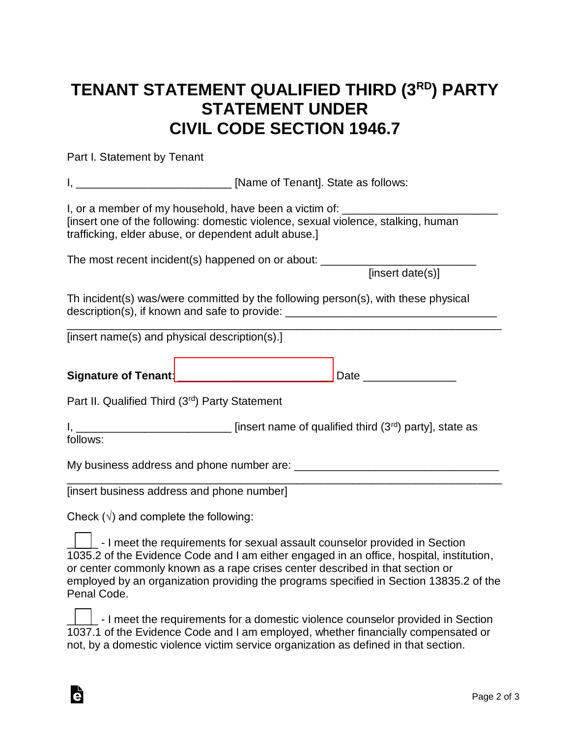## **TENANT STATEMENT QUALIFIED THIRD (3RD) PARTY STATEMENT UNDER CIVIL CODE SECTION 1946.7**

Part I. Statement by Tenant

| I, or a member of my household, have been a victim of: _________________________<br>[insert one of the following: domestic violence, sexual violence, stalking, human<br>trafficking, elder abuse, or dependent adult abuse.] |                  |  |  |  |  |
|-------------------------------------------------------------------------------------------------------------------------------------------------------------------------------------------------------------------------------|------------------|--|--|--|--|
| The most recent incident(s) happened on or about: ______________________________                                                                                                                                              | [insert date(s)] |  |  |  |  |
| Th incident(s) was/were committed by the following person(s), with these physical<br>description(s), if known and safe to provide: __________________________________                                                         |                  |  |  |  |  |
| [insert name(s) and physical description(s).]                                                                                                                                                                                 |                  |  |  |  |  |
|                                                                                                                                                                                                                               |                  |  |  |  |  |
| Part II. Qualified Third (3rd) Party Statement                                                                                                                                                                                |                  |  |  |  |  |
| $I, \_\_\_\_\_\_\_\_\_\_\_\_\_\_\_\_$ state as<br>follows:                                                                                                                                                                    |                  |  |  |  |  |
|                                                                                                                                                                                                                               |                  |  |  |  |  |
| [insert business address and phone number]                                                                                                                                                                                    |                  |  |  |  |  |

Check  $(\sqrt{})$  and complete the following:

Ġ

 $\lfloor$  - I meet the requirements for sexual assault counselor provided in Section 1035.2 of the Evidence Code and I am either engaged in an office, hospital, institution, or center commonly known as a rape crises center described in that section or employed by an organization providing the programs specified in Section 13835.2 of the Penal Code.

|  | $\Box$ . I meet the requirements for a domestic violence counselor provided in Section |
|--|----------------------------------------------------------------------------------------|
|  | 1037.1 of the Evidence Code and I am employed, whether financially compensated or      |
|  | not, by a domestic violence victim service organization as defined in that section.    |